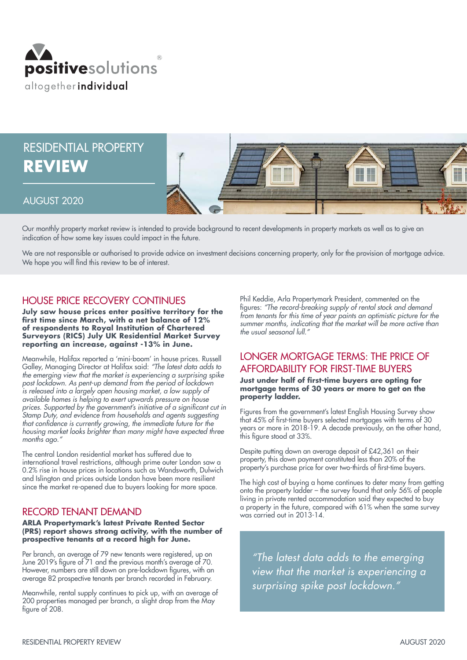

# RESIDENTIAL PROPERTY **REVIEW**



# AUGUST 2020

Our monthly property market review is intended to provide background to recent developments in property markets as well as to give an indication of how some key issues could impact in the future.

We are not responsible or authorised to provide advice on investment decisions concerning property, only for the provision of mortgage advice. We hope you will find this review to be of interest.

# HOUSE PRICE RECOVERY CONTINUES

**July saw house prices enter positive territory for the first time since March, with a net balance of 12% of respondents to Royal Institution of Chartered Surveyors (RICS) July UK Residential Market Survey reporting an increase, against -13% in June.** 

Meanwhile, Halifax reported a 'mini-boom' in house prices. Russell Galley, Managing Director at Halifax said: *"The latest data adds to the emerging view that the market is experiencing a surprising spike post lockdown. As pent-up demand from the period of lockdown is released into a largely open housing market, a low supply of available homes is helping to exert upwards pressure on house*  prices. Supported by the government's initiative of a significant cut in *Stamp Duty, and evidence from households and agents suggesting*  that confidence is currently growing, the immediate future for the *housing market looks brighter than many might have expected three months ago."*

The central London residential market has suffered due to international travel restrictions, although prime outer London saw a 0.2% rise in house prices in locations such as Wandsworth, Dulwich and Islington and prices outside London have been more resilient since the market re-opened due to buyers looking for more space.

# RECORD TENANT DEMAND

#### **ARLA Propertymark's latest Private Rented Sector (PRS) report shows strong activity, with the number of prospective tenants at a record high for June.**

Per branch, an average of 79 new tenants were registered, up on June 2019's figure of 71 and the previous month's average of 70. However, numbers are still down on pre-lockdown figures, with an average 82 prospective tenants per branch recorded in February.

Meanwhile, rental supply continues to pick up, with an average of 200 properties managed per branch, a slight drop from the May figure of 208.

Phil Keddie, Arla Propertymark President, commented on the figures: *"The record-breaking supply of rental stock and demand from tenants for this time of year paints an optimistic picture for the summer months, indicating that the market will be more active than the usual seasonal lull."*

# LONGER MORTGAGE TERMS: THE PRICE OF AFFORDABILITY FOR FIRST-TIME BUYERS

**Just under half of first-time buyers are opting for mortgage terms of 30 years or more to get on the property ladder.**

Figures from the government's latest English Housing Survey show that 45% of first-time buyers selected mortgages with terms of 30 years or more in 2018-19. A decade previously, on the other hand, this figure stood at 33%.

Despite putting down an average deposit of £42,361 on their property, this down payment constituted less than 20% of the property's purchase price for over two-thirds of first-time buyers.

The high cost of buying a home continues to deter many from getting onto the property ladder – the survey found that only 56% of people living in private rented accommodation said they expected to buy a property in the future, compared with 61% when the same survey was carried out in 2013-14.

*"The latest data adds to the emerging view that the market is experiencing a surprising spike post lockdown."*